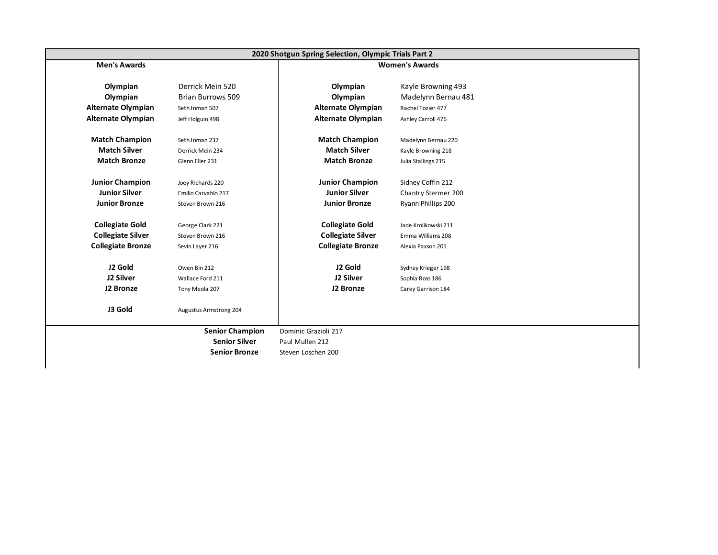|                           |                          | 2020 Shotgun Spring Selection, Olympic Trials Part 2 |                       |
|---------------------------|--------------------------|------------------------------------------------------|-----------------------|
| <b>Men's Awards</b>       |                          |                                                      | <b>Women's Awards</b> |
|                           |                          |                                                      |                       |
| Olympian                  | Derrick Mein 520         | Olympian                                             | Kayle Browning 493    |
| Olympian                  | <b>Brian Burrows 509</b> | Olympian                                             | Madelynn Bernau 481   |
| <b>Alternate Olympian</b> | Seth Inman 507           | <b>Alternate Olympian</b>                            | Rachel Tozier 477     |
| <b>Alternate Olympian</b> | Jeff Holguin 498         | Alternate Olympian                                   | Ashley Carroll 476    |
| <b>Match Champion</b>     | Seth Inman 237           | <b>Match Champion</b>                                | Madelynn Bernau 220   |
| <b>Match Silver</b>       | Derrick Mein 234         | <b>Match Silver</b>                                  | Kayle Browning 218    |
| <b>Match Bronze</b>       | Glenn Eller 231          | <b>Match Bronze</b>                                  | Julia Stallings 215   |
| <b>Junior Champion</b>    | Joey Richards 220        | <b>Junior Champion</b>                               | Sidney Coffin 212     |
| <b>Junior Silver</b>      | Emilio Carvahlo 217      | <b>Junior Silver</b>                                 | Chantry Stermer 200   |
| <b>Junior Bronze</b>      | Steven Brown 216         | <b>Junior Bronze</b>                                 | Ryann Phillips 200    |
| <b>Collegiate Gold</b>    | George Clark 221         | <b>Collegiate Gold</b>                               | Jade Krolikowski 211  |
| <b>Collegiate Silver</b>  | Steven Brown 216         | <b>Collegiate Silver</b>                             | Emma Williams 208     |
| <b>Collegiate Bronze</b>  | Sevin Layer 216          | <b>Collegiate Bronze</b>                             | Alexia Paxson 201     |
| J2 Gold                   | Owen Bin 212             | J2 Gold                                              | Sydney Krieger 198    |
| J2 Silver                 | Wallace Ford 211         | J2 Silver                                            | Sophia Ross 186       |
| J2 Bronze                 | Tony Meola 207           | J2 Bronze                                            | Carey Garrison 184    |
| J3 Gold                   | Augustus Armstrong 204   |                                                      |                       |
|                           | <b>Senior Champion</b>   | Dominic Grazioli 217                                 |                       |
|                           | <b>Senior Silver</b>     | Paul Mullen 212                                      |                       |
|                           | <b>Senior Bronze</b>     | Steven Loschen 200                                   |                       |
|                           |                          |                                                      |                       |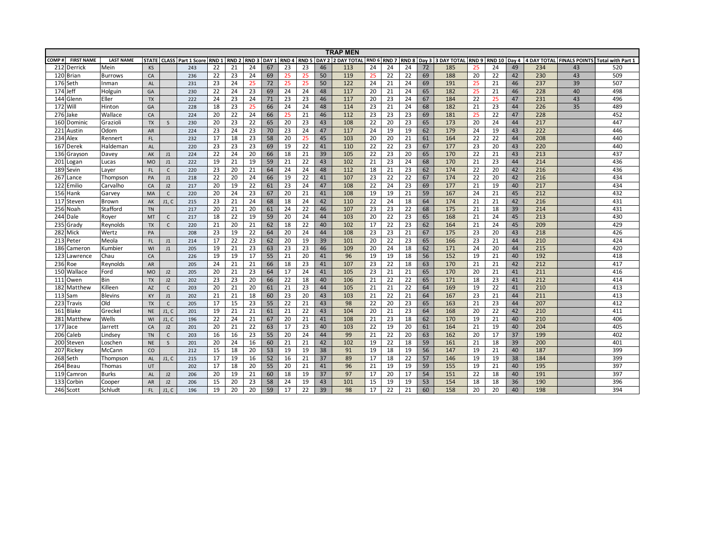| COMP#<br><b>FIRST NAME</b><br><b>LAST NAME</b><br><b>RND 5 DAY 2 2 DAY TOTAL</b><br>RND 6 RND 7<br><b>RND 8 Day 3 3 DAY TOTAL RND 9</b><br>RND 10 Day 4<br>4 DAY TOTAL FINALS POINTS Total with Part 1<br><b>STATE</b><br><b>CLASS</b> Part 1 Score<br>RND <sub>1</sub><br>RND <sub>2</sub><br>RND <sub>3</sub><br>DAY <sub>1</sub><br>RND <sub>4</sub><br>520<br>212 Derrick<br>22<br>21<br>24<br>67<br>23<br>23<br>46<br>24<br>24<br>24<br>24<br>49<br>234<br>Mein<br><b>KS</b><br>113<br>72<br>185<br>25<br>43<br>243<br>50<br>69<br>42<br>230<br>43<br>509<br>120 Brian<br>22<br>23<br>24<br>69<br>119<br>25<br>22<br>22<br>188<br>20<br>22<br>CA<br>236<br>25<br>25<br><b>Burrows</b><br>50<br>237<br>39<br>507<br>176 Seth<br>23<br>24<br>25<br>72<br>25<br>25<br>122<br>21<br>24<br>69<br>191<br>25<br>21<br>46<br><b>AL</b><br>231<br>24<br>Inman<br>228<br>40<br>498<br>174<br>22<br>24<br>23<br>24<br>48<br>117<br>20<br>21<br>65<br>182<br>21<br>46<br>Jeff<br>Holguin<br>GA<br>230<br>69<br>24<br>24<br>25<br>231<br>43<br>23<br>24<br>46<br>67<br>184<br>22<br>25<br>47<br>496<br>144 Glenn<br>Eller<br>24<br>71<br>23<br>23<br>117<br>20<br>23<br>24<br><b>TX</b><br>222<br>23<br>25<br>44<br>226<br>35<br>489<br>172 Will<br>18<br>66<br>48<br>114<br>23<br>21<br>24<br>68<br>182<br>21<br>23<br>Hinton<br>24<br>24<br>GA<br>228 |
|-------------------------------------------------------------------------------------------------------------------------------------------------------------------------------------------------------------------------------------------------------------------------------------------------------------------------------------------------------------------------------------------------------------------------------------------------------------------------------------------------------------------------------------------------------------------------------------------------------------------------------------------------------------------------------------------------------------------------------------------------------------------------------------------------------------------------------------------------------------------------------------------------------------------------------------------------------------------------------------------------------------------------------------------------------------------------------------------------------------------------------------------------------------------------------------------------------------------------------------------------------------------------------------------------------------------------------------------------|
|                                                                                                                                                                                                                                                                                                                                                                                                                                                                                                                                                                                                                                                                                                                                                                                                                                                                                                                                                                                                                                                                                                                                                                                                                                                                                                                                                 |
|                                                                                                                                                                                                                                                                                                                                                                                                                                                                                                                                                                                                                                                                                                                                                                                                                                                                                                                                                                                                                                                                                                                                                                                                                                                                                                                                                 |
|                                                                                                                                                                                                                                                                                                                                                                                                                                                                                                                                                                                                                                                                                                                                                                                                                                                                                                                                                                                                                                                                                                                                                                                                                                                                                                                                                 |
|                                                                                                                                                                                                                                                                                                                                                                                                                                                                                                                                                                                                                                                                                                                                                                                                                                                                                                                                                                                                                                                                                                                                                                                                                                                                                                                                                 |
|                                                                                                                                                                                                                                                                                                                                                                                                                                                                                                                                                                                                                                                                                                                                                                                                                                                                                                                                                                                                                                                                                                                                                                                                                                                                                                                                                 |
|                                                                                                                                                                                                                                                                                                                                                                                                                                                                                                                                                                                                                                                                                                                                                                                                                                                                                                                                                                                                                                                                                                                                                                                                                                                                                                                                                 |
|                                                                                                                                                                                                                                                                                                                                                                                                                                                                                                                                                                                                                                                                                                                                                                                                                                                                                                                                                                                                                                                                                                                                                                                                                                                                                                                                                 |
| 228<br>452<br>276<br>20<br>22<br>24<br>46<br>112<br>23<br>23<br>69<br>181<br>22<br>47<br>Wallace<br>CA<br>224<br>66<br>25<br>21<br>23<br>25<br>Jake                                                                                                                                                                                                                                                                                                                                                                                                                                                                                                                                                                                                                                                                                                                                                                                                                                                                                                                                                                                                                                                                                                                                                                                             |
| 217<br>447<br>23<br>22<br>173<br>44<br>20<br>23<br>43<br>108<br>22<br>20<br>23<br>65<br>20<br>24<br>160<br>Dominic<br>Grazioli<br><b>TX</b><br>230<br>65<br>20<br><sub>S</sub>                                                                                                                                                                                                                                                                                                                                                                                                                                                                                                                                                                                                                                                                                                                                                                                                                                                                                                                                                                                                                                                                                                                                                                  |
| 47<br>43<br>222<br>23<br>24<br>23<br>19<br>62<br>179<br>24<br>19<br>446<br>221<br>Austin<br>Odom<br>224<br>70<br>23<br>24<br>117<br>24<br>19<br><b>AR</b>                                                                                                                                                                                                                                                                                                                                                                                                                                                                                                                                                                                                                                                                                                                                                                                                                                                                                                                                                                                                                                                                                                                                                                                       |
| $\overline{23}$<br>22<br>$\overline{22}$<br>208<br>440<br>234<br>Alex<br>17<br>18<br>58<br>25<br>45<br>103<br>20<br>21<br>61<br>164<br>44<br>FL.<br>20<br>20<br>Rennert<br>232                                                                                                                                                                                                                                                                                                                                                                                                                                                                                                                                                                                                                                                                                                                                                                                                                                                                                                                                                                                                                                                                                                                                                                  |
| 23<br>23<br>23<br>110<br>67<br>177<br>23<br>220<br>440<br>167 Derek<br>69<br>22<br>41<br>22<br>22<br>23<br>20<br>43<br>Haldeman<br>220<br>19<br><b>AL</b>                                                                                                                                                                                                                                                                                                                                                                                                                                                                                                                                                                                                                                                                                                                                                                                                                                                                                                                                                                                                                                                                                                                                                                                       |
| 39<br>437<br>22<br>24<br>20<br>66<br>105<br>22<br>23<br>20<br>65<br>170<br>22<br>21<br>43<br>213<br>136 Grayson<br>18<br>21<br>Davey<br>AK<br>224<br>J1                                                                                                                                                                                                                                                                                                                                                                                                                                                                                                                                                                                                                                                                                                                                                                                                                                                                                                                                                                                                                                                                                                                                                                                         |
| 21<br>19<br>43<br>102<br>24<br>170<br>21<br>23<br>44<br>214<br>436<br>201<br>222<br>19<br>59<br>21<br>22<br>21<br>23<br>68<br>Logan<br>Lucas<br><b>MO</b><br>J1                                                                                                                                                                                                                                                                                                                                                                                                                                                                                                                                                                                                                                                                                                                                                                                                                                                                                                                                                                                                                                                                                                                                                                                 |
| 20<br>48<br>112<br>174<br>22<br>42<br>216<br>436<br>189<br><b>FL</b><br>220<br>23<br>21<br>64<br>24<br>24<br>18<br>21<br>23<br>62<br>20<br>Sevin<br>$\mathsf{C}$<br>Layer                                                                                                                                                                                                                                                                                                                                                                                                                                                                                                                                                                                                                                                                                                                                                                                                                                                                                                                                                                                                                                                                                                                                                                       |
| 22<br>22<br>42<br>434<br>267<br>22<br>20<br>24<br>66<br>22<br>41<br>107<br>23<br>22<br>67<br>174<br>20<br>216<br>19<br>Thompson<br>218<br>Lance<br>PA<br>J1                                                                                                                                                                                                                                                                                                                                                                                                                                                                                                                                                                                                                                                                                                                                                                                                                                                                                                                                                                                                                                                                                                                                                                                     |
| 217<br>434<br>122<br>22<br>47<br>108<br>22<br>23<br>69<br>177<br>19<br>40<br>20<br>19<br>61<br>23<br>24<br>24<br>21<br>Emilio<br>Carvalho<br>CA<br>J2<br>217                                                                                                                                                                                                                                                                                                                                                                                                                                                                                                                                                                                                                                                                                                                                                                                                                                                                                                                                                                                                                                                                                                                                                                                    |
| 59<br>212<br>432<br>156 Hank<br>20<br>24<br>23<br>67<br>20<br>21<br>41<br>108<br>19<br>19<br>21<br>167<br>24<br>21<br>45<br>MA<br>220<br>Garvey<br>$\mathsf{C}$                                                                                                                                                                                                                                                                                                                                                                                                                                                                                                                                                                                                                                                                                                                                                                                                                                                                                                                                                                                                                                                                                                                                                                                 |
| 174<br>431<br>23<br>21<br>24<br>42<br>21<br>42<br>216<br>117 Steven<br>18<br>24<br>110<br>22<br>24<br>18<br>64<br>21<br>AK<br>J1. C<br>215<br>68<br><b>Brown</b>                                                                                                                                                                                                                                                                                                                                                                                                                                                                                                                                                                                                                                                                                                                                                                                                                                                                                                                                                                                                                                                                                                                                                                                |
| 431<br>21<br>20<br>46<br>107<br>22<br>175<br>18<br>39<br>214<br>256<br>Stafford<br>217<br>20<br>61<br>24<br>22<br>23<br>23<br>68<br>21<br>Noah<br><b>TN</b>                                                                                                                                                                                                                                                                                                                                                                                                                                                                                                                                                                                                                                                                                                                                                                                                                                                                                                                                                                                                                                                                                                                                                                                     |
| 18<br>22<br>19<br>44<br>23<br>21<br>45<br>213<br>430<br>244 Dale<br>59<br>24<br>103<br>20<br>22<br>65<br>168<br>24<br>20<br>Royer<br><b>MT</b><br>$\mathsf{C}$<br>217                                                                                                                                                                                                                                                                                                                                                                                                                                                                                                                                                                                                                                                                                                                                                                                                                                                                                                                                                                                                                                                                                                                                                                           |
| 20<br>23<br>45<br>209<br>429<br>235 Grady<br>21<br>21<br>62<br>22<br>40<br>102<br>17<br>22<br>62<br>164<br>21<br>24<br>18<br>Reynolds<br><b>TX</b><br>$\mathsf{C}$<br>220                                                                                                                                                                                                                                                                                                                                                                                                                                                                                                                                                                                                                                                                                                                                                                                                                                                                                                                                                                                                                                                                                                                                                                       |
| 43<br>426<br>282<br>Mick<br>23<br>19<br>22<br>64<br>44<br>108<br>23<br>23<br>21<br>67<br>175<br>23<br>20<br>218<br>Wertz<br>208<br>20<br>24<br>PA                                                                                                                                                                                                                                                                                                                                                                                                                                                                                                                                                                                                                                                                                                                                                                                                                                                                                                                                                                                                                                                                                                                                                                                               |
| 210<br>424<br>22<br>23<br>39<br>44<br>213<br>Peter<br>17<br>20<br>19<br>101<br>20<br>22<br>23<br>65<br>166<br>23<br>21<br>Meola<br>FL.<br>214<br>62<br>J1                                                                                                                                                                                                                                                                                                                                                                                                                                                                                                                                                                                                                                                                                                                                                                                                                                                                                                                                                                                                                                                                                                                                                                                       |
| 21<br>23<br>23<br>46<br>109<br>215<br>420<br>186<br>19<br>63<br>23<br>20<br>24<br>18<br>62<br>171<br>24<br>20<br>44<br>Cameron<br>Kumbier<br>WI<br>J1<br>205                                                                                                                                                                                                                                                                                                                                                                                                                                                                                                                                                                                                                                                                                                                                                                                                                                                                                                                                                                                                                                                                                                                                                                                    |
| 123<br>17<br>55<br>56<br>152<br>192<br>418<br>Chau<br>19<br>19<br>21<br>20<br>41<br>96<br>19<br>19<br>18<br>19<br>21<br>40<br>CA<br>226<br>Lawrence                                                                                                                                                                                                                                                                                                                                                                                                                                                                                                                                                                                                                                                                                                                                                                                                                                                                                                                                                                                                                                                                                                                                                                                             |
| 212<br>417<br>236<br>24<br>21<br>21<br>41<br>107<br>23<br>22<br>18<br>63<br>170<br>21<br>21<br>42<br>Roe<br><b>AR</b><br>205<br>66<br>18<br>23<br>Reynolds                                                                                                                                                                                                                                                                                                                                                                                                                                                                                                                                                                                                                                                                                                                                                                                                                                                                                                                                                                                                                                                                                                                                                                                      |
| 211<br>416<br>150<br>Wallace<br>205<br>20<br>21<br>23<br>64<br>17<br>24<br>41<br>105<br>23<br>21<br>21<br>65<br>170<br>20<br>21<br>41<br>Ford<br><b>MO</b><br>J2                                                                                                                                                                                                                                                                                                                                                                                                                                                                                                                                                                                                                                                                                                                                                                                                                                                                                                                                                                                                                                                                                                                                                                                |
| 212<br>111 Owen<br>23<br>23<br>20<br>40<br>106<br>22<br>22<br>65<br>171<br>23<br>41<br>414<br>Bin<br>202<br>22<br>18<br>21<br>18<br><b>TX</b><br>J2<br>66                                                                                                                                                                                                                                                                                                                                                                                                                                                                                                                                                                                                                                                                                                                                                                                                                                                                                                                                                                                                                                                                                                                                                                                       |
| 413<br>Killeen<br>20<br>21<br>20<br>61<br>23<br>44<br>105<br>22<br>64<br>169<br>19<br>22<br>41<br>210<br>182<br>Matthew<br>203<br>21<br>21<br>21<br><b>AZ</b><br>$\mathsf{C}$                                                                                                                                                                                                                                                                                                                                                                                                                                                                                                                                                                                                                                                                                                                                                                                                                                                                                                                                                                                                                                                                                                                                                                   |
| 211<br>413<br>113<br>21<br>21<br>18<br>60<br>23<br>20<br>43<br>103<br>22<br>21<br>64<br>167<br>23<br>21<br>44<br><b>Blevins</b><br>21<br>Sam<br>KY<br>J1<br>202                                                                                                                                                                                                                                                                                                                                                                                                                                                                                                                                                                                                                                                                                                                                                                                                                                                                                                                                                                                                                                                                                                                                                                                 |
| 207<br>412<br>223 Travis<br>Old<br>17<br>15<br>23<br>43<br>98<br>23<br>65<br>163<br>23<br>55<br>22<br>21<br>22<br>20<br>21<br>44<br><b>TX</b><br>205<br>C                                                                                                                                                                                                                                                                                                                                                                                                                                                                                                                                                                                                                                                                                                                                                                                                                                                                                                                                                                                                                                                                                                                                                                                       |
| 43<br>411<br><b>Blake</b><br>21<br>21<br>61<br>22<br>104<br>23<br>64<br>168<br>20<br>22<br>42<br>210<br>161<br>Greckel<br>201<br>19<br>21<br>20<br>21<br>J1. C<br><b>NE</b>                                                                                                                                                                                                                                                                                                                                                                                                                                                                                                                                                                                                                                                                                                                                                                                                                                                                                                                                                                                                                                                                                                                                                                     |
| 210<br>406<br>Wells<br>22<br>24<br>21<br>41<br>108<br>170<br>21<br>281<br>196<br>67<br>20<br>21<br>21<br>23<br>18<br>62<br>19<br>40<br>Matthew<br>J1. C<br>WI                                                                                                                                                                                                                                                                                                                                                                                                                                                                                                                                                                                                                                                                                                                                                                                                                                                                                                                                                                                                                                                                                                                                                                                   |
| 177<br>22<br>164<br>204<br>405<br>21<br>40<br>103<br>22<br>19<br>20<br>61<br>21<br>19<br>40<br>Jace<br>20<br>63<br>17<br>-23<br>Jarrett<br>CA<br>J2<br>201                                                                                                                                                                                                                                                                                                                                                                                                                                                                                                                                                                                                                                                                                                                                                                                                                                                                                                                                                                                                                                                                                                                                                                                      |
| $\overline{23}$<br>37<br>402<br>16<br>16<br>55<br>44<br>99<br>21<br>22<br>20<br>63<br>162<br>20<br>17<br>199<br>206<br>20<br>24<br>Caleb<br>Lindsey<br><b>TN</b><br>$\mathsf{C}$<br>203                                                                                                                                                                                                                                                                                                                                                                                                                                                                                                                                                                                                                                                                                                                                                                                                                                                                                                                                                                                                                                                                                                                                                         |
| 42<br>102<br>59<br>18<br>39<br>200<br>401<br>200<br>Steven<br>20<br>24<br>16<br>60<br>19<br>22<br>18<br>161<br>21<br>Loschen<br>S<br>201<br>21<br>21<br><b>NE</b>                                                                                                                                                                                                                                                                                                                                                                                                                                                                                                                                                                                                                                                                                                                                                                                                                                                                                                                                                                                                                                                                                                                                                                               |
| 38<br>399<br>207 Rickey<br>15<br>18<br>20<br>53<br>19<br>19<br>91<br>19<br>18<br>56<br>147<br>21<br>40<br>187<br>McCann<br>CO<br>212<br>19<br>19                                                                                                                                                                                                                                                                                                                                                                                                                                                                                                                                                                                                                                                                                                                                                                                                                                                                                                                                                                                                                                                                                                                                                                                                |
| 399<br>37<br>89<br>146<br>38<br>268<br>17<br>19<br>16<br>52<br>21<br>17<br>18<br>22<br>57<br>19<br>19<br>184<br>J1. C<br>215<br>16<br><b>Seth</b><br>Thompson<br><b>AL</b>                                                                                                                                                                                                                                                                                                                                                                                                                                                                                                                                                                                                                                                                                                                                                                                                                                                                                                                                                                                                                                                                                                                                                                      |
| 397<br>17<br>18<br>20<br>41<br>96<br>59<br>155<br>19<br>40<br>195<br>264 Beau<br>Thomas<br>202<br>55<br>20<br>21<br>21<br>19<br>19<br>21<br>UT                                                                                                                                                                                                                                                                                                                                                                                                                                                                                                                                                                                                                                                                                                                                                                                                                                                                                                                                                                                                                                                                                                                                                                                                  |
| 37<br>97<br>54<br>191<br>397<br>119<br><b>Burks</b><br>20<br>19<br>21<br>60<br>18<br>19<br>17<br>20<br>17<br>151<br>22<br>18<br>40<br>Camron<br><b>AL</b><br>J2<br>206                                                                                                                                                                                                                                                                                                                                                                                                                                                                                                                                                                                                                                                                                                                                                                                                                                                                                                                                                                                                                                                                                                                                                                          |
| 23<br>154<br>190<br>396<br>133<br>15<br>20<br>58<br>19<br>43<br>101<br>15<br>19<br>19<br>53<br>18<br>36<br>Corbin<br>206<br>24<br>18<br><b>AR</b><br>J2<br>Cooper                                                                                                                                                                                                                                                                                                                                                                                                                                                                                                                                                                                                                                                                                                                                                                                                                                                                                                                                                                                                                                                                                                                                                                               |
| $\overline{20}$<br>59<br>17<br>39<br>17<br>394<br>Schludt<br>19<br>20<br>22<br>98<br>22<br>21<br>60<br>158<br>20<br>20<br>40<br>198<br>246 Scott<br>196<br>FL.<br>J1, C                                                                                                                                                                                                                                                                                                                                                                                                                                                                                                                                                                                                                                                                                                                                                                                                                                                                                                                                                                                                                                                                                                                                                                         |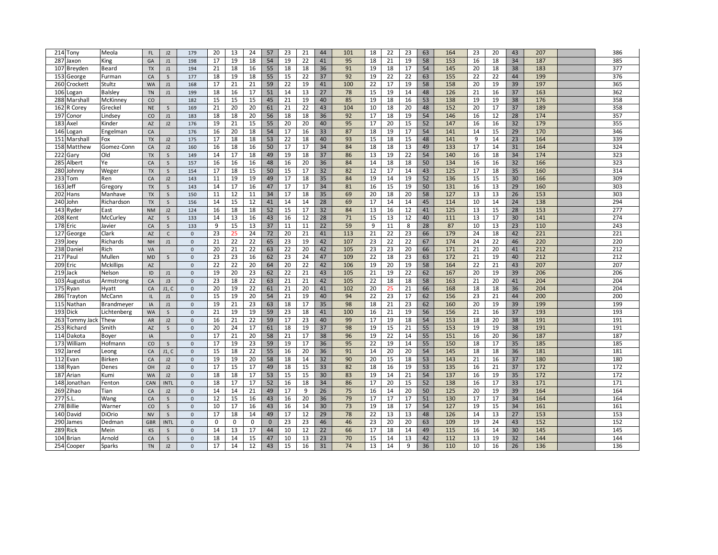| 214 Tony               | Meola            | <b>FL</b> | J2           | 179                 | 20 | 13 | 24 | 57          | 23 | 21 | 44 | 101 | 18 | 22 | 23 | 63 | 164 | 23 | 20 | 43 | 207 | 386 |
|------------------------|------------------|-----------|--------------|---------------------|----|----|----|-------------|----|----|----|-----|----|----|----|----|-----|----|----|----|-----|-----|
| 287<br>Jaxon           | King             | GA        | J1           | 198                 | 17 | 19 | 18 | 54          | 19 | 22 | 41 | 95  | 18 | 21 | 19 | 58 | 153 | 16 | 18 | 34 | 187 | 385 |
| 107<br>Breyden         | Beard            | <b>TX</b> | J1           | 194                 | 21 | 18 | 16 | 55          | 18 | 18 | 36 | 91  | 19 | 18 | 17 | 54 | 145 | 20 | 18 | 38 | 183 | 377 |
| 153                    | Furman           | CA        | $\mathsf{S}$ | 177                 | 18 | 19 | 18 | 55          | 15 | 22 | 37 | 92  | 19 | 22 | 22 | 63 | 155 | 22 | 22 | 44 | 199 | 376 |
| George                 |                  |           |              |                     |    |    |    |             |    |    |    |     |    |    |    |    |     |    |    |    |     |     |
| 260<br>Crockett        | Stultz           | <b>WA</b> | J1           | 168                 | 17 | 21 | 21 | 59          | 22 | 19 | 41 | 100 | 22 | 17 | 19 | 58 | 158 | 20 | 19 | 39 | 197 | 365 |
| 106<br>Logan           | <b>Balsley</b>   | <b>TN</b> | J1           | 199                 | 18 | 16 | 17 | 51          | 14 | 13 | 27 | 78  | 15 | 19 | 14 | 48 | 126 | 21 | 16 | 37 | 163 | 362 |
| 288<br>Marshall        | McKinney         | CO        |              | 182                 | 15 | 15 | 15 | 45          | 21 | 19 | 40 | 85  | 19 | 18 | 16 | 53 | 138 | 19 | 19 | 38 | 176 | 358 |
| 162<br>R Corey         | Greckel          | <b>NE</b> | S            | 169                 | 21 | 20 | 20 | 61          | 21 | 22 | 43 | 104 | 10 | 18 | 20 | 48 | 152 | 20 | 17 | 37 | 189 | 358 |
| 197<br>Conor           | Lindsey          | CO        | $\sf J1$     | 183                 | 18 | 18 | 20 | 56          | 18 | 18 | 36 | 92  | 17 | 18 | 19 | 54 | 146 | 16 | 12 | 28 | 174 | 357 |
| 183<br>Axel            | Kinder           | <b>AZ</b> | J2           | 176                 | 19 | 21 | 15 | 55          | 20 | 20 | 40 | 95  | 17 | 20 | 15 | 52 | 147 | 16 | 16 | 32 | 179 | 355 |
| 146<br>Logan           | Engelman         | CA        |              | 176                 | 16 | 20 | 18 | 54          | 17 | 16 | 33 | 87  | 18 | 19 | 17 | 54 | 141 | 14 | 15 | 29 | 170 | 346 |
| 151<br>Marshall        | Fox              | <b>TX</b> | J2           | 175                 | 17 | 18 | 18 | 53          | 22 | 18 | 40 | 93  | 15 | 18 | 15 | 48 | 141 | 9  | 14 | 23 | 164 | 339 |
| 158<br>Matthew         | Gomez-Conn       | CA        | J2           | 160                 | 16 | 18 | 16 | 50          | 17 | 17 | 34 | 84  | 18 | 18 | 13 | 49 | 133 | 17 | 14 | 31 | 164 | 324 |
| 222<br>Gary            | Old              | <b>TX</b> | $\mathsf{S}$ | 149                 | 14 | 17 | 18 | 49          | 19 | 18 | 37 | 86  | 13 | 19 | 22 | 54 | 140 | 16 | 18 | 34 | 174 | 323 |
| 285<br>Albert          | Ye               | CA        | $\mathsf{S}$ | 157                 | 16 | 16 | 16 | 48          | 16 | 20 | 36 | 84  | 14 | 18 | 18 | 50 | 134 | 16 | 16 | 32 | 166 | 323 |
| 280<br>Johnny          |                  | <b>TX</b> |              | 154                 | 17 | 18 | 15 | 50          | 15 | 17 | 32 | 82  | 12 | 17 | 14 | 43 | 125 | 17 | 18 | 35 | 160 | 314 |
| 233                    | Weger            |           | S            |                     | 11 | 19 |    |             |    |    |    |     |    |    |    |    |     |    |    |    | 166 | 309 |
| Гоm                    | Ren              | CA        | J2           | 143                 |    |    | 19 | 49          | 17 | 18 | 35 | 84  | 19 | 14 | 19 | 52 | 136 | 15 | 15 | 30 |     |     |
| 163<br>Jeff            | Gregory          | <b>TX</b> | S            | 143                 | 14 | 17 | 16 | 47          | 17 | 17 | 34 | 81  | 16 | 15 | 19 | 50 | 131 | 16 | 13 | 29 | 160 | 303 |
| 202<br>Hans            | Manhave          | <b>TX</b> | S            | 150                 | 11 | 12 | 11 | 34          | 17 | 18 | 35 | 69  | 20 | 18 | 20 | 58 | 127 | 13 | 13 | 26 | 153 | 303 |
| 240<br>John            | Richardson       | <b>TX</b> | S            | 156                 | 14 | 15 | 12 | 41          | 14 | 14 | 28 | 69  | 17 | 14 | 14 | 45 | 114 | 10 | 14 | 24 | 138 | 294 |
| 143<br>Ryder           | East             | <b>NM</b> | J2           | 124                 | 16 | 18 | 18 | 52          | 15 | 17 | 32 | 84  | 13 | 16 | 12 | 41 | 125 | 13 | 15 | 28 | 153 | 277 |
| 208<br>Kent            | McCurley         | AZ        | S            | 133                 | 14 | 13 | 16 | 43          | 16 | 12 | 28 | 71  | 15 | 13 | 12 | 40 | 111 | 13 | 17 | 30 | 141 | 274 |
| 178<br>Eric            | Javier           | CA        | S            | 133                 | 9  | 15 | 13 | 37          | 11 | 11 | 22 | 59  | 9  | 11 | 8  | 28 | 87  | 10 | 13 | 23 | 110 | 243 |
| 127<br>George          | Clark            | AZ        | $\mathsf{C}$ | $\mathsf{O}\xspace$ | 23 | 25 | 24 | 72          | 20 | 21 | 41 | 113 | 21 | 22 | 23 | 66 | 179 | 24 | 18 | 42 | 221 | 221 |
| 239<br>Joev            | Richards         | <b>NH</b> | J1           | $\mathsf 0$         | 21 | 22 | 22 | 65          | 23 | 19 | 42 | 107 | 23 | 22 | 22 | 67 | 174 | 24 | 22 | 46 | 220 | 220 |
| 238<br>Daniel          | Rich             | <b>VA</b> |              | $\mathbf{0}$        | 20 | 21 | 22 | 63          | 22 | 20 | 42 | 105 | 23 | 23 | 20 | 66 | 171 | 21 | 20 | 41 | 212 | 212 |
| 217<br>Paul            | Mullen           | <b>MD</b> | S            | $\mathbf{0}$        | 23 | 23 | 16 | 62          | 23 | 24 | 47 | 109 | 22 | 18 | 23 | 63 | 172 | 21 | 19 | 40 | 212 | 212 |
| 209<br>Eric            | <b>Mckillips</b> | AZ        |              | $\mathsf{O}\xspace$ | 22 | 22 | 20 | 64          | 20 | 22 | 42 | 106 | 19 | 20 | 19 | 58 | 164 | 22 | 21 | 43 | 207 | 207 |
| 219<br>Jack            | Nelson           | ID        | J1           | $\mathbf{0}$        | 19 | 20 | 23 | 62          | 22 | 21 | 43 | 105 | 21 | 19 | 22 | 62 | 167 | 20 | 19 | 39 | 206 | 206 |
| 103<br>Augustus        | Armstrong        | CA        | J3           | $\mathsf{O}\xspace$ | 23 | 18 | 22 | 63          | 21 | 21 | 42 | 105 | 22 | 18 | 18 | 58 | 163 | 21 | 20 | 41 | 204 | 204 |
|                        |                  |           |              |                     |    |    |    |             |    |    |    |     |    |    |    |    |     |    |    |    |     | 204 |
| 175<br>Ryan            | Hyatt            | CA        | J1, C        | $\mathbf{0}$        | 20 | 19 | 22 | 61          | 21 | 20 | 41 | 102 | 20 | 25 | 21 | 66 | 168 | 18 | 18 | 36 | 204 |     |
| 286<br>Trayton         | McCann           | IL        | J1           | $\mathbf{0}$        | 15 | 19 | 20 | 54          | 21 | 19 | 40 | 94  | 22 | 23 | 17 | 62 | 156 | 23 | 21 | 44 | 200 | 200 |
| 115<br>Nathan          | Brandmeyer       | IA        | J1           | $\Omega$            | 19 | 21 | 23 | 63          | 18 | 17 | 35 | 98  | 18 | 21 | 23 | 62 | 160 | 20 | 19 | 39 | 199 | 199 |
| 193<br>Dick            | Lichtenberg      | <b>WA</b> | $\mathsf{S}$ | $\mathbf 0$         | 21 | 19 | 19 | 59          | 23 | 18 | 41 | 100 | 16 | 21 | 19 | 56 | 156 | 21 | 16 | 37 | 193 | 193 |
| 263<br>Tommy Jack Thew |                  | AR        | J2           | $\mathsf{O}\xspace$ | 16 | 21 | 22 | 59          | 17 | 23 | 40 | 99  | 17 | 19 | 18 | 54 | 153 | 18 | 20 | 38 | 191 | 191 |
| 253<br>Richard         | Smith            | AZ        | S            | $\mathsf{O}\xspace$ | 20 | 24 | 17 | 61          | 18 | 19 | 37 | 98  | 19 | 15 | 21 | 55 | 153 | 19 | 19 | 38 | 191 | 191 |
| 114<br>Dakota          | Boyer            | IA        |              | $\mathsf{O}\xspace$ | 17 | 21 | 20 | 58          | 21 | 17 | 38 | 96  | 19 | 22 | 14 | 55 | 151 | 16 | 20 | 36 | 187 | 187 |
| 173<br>William         | Hofmann          | CO        | S            | $\mathsf{O}\xspace$ | 17 | 19 | 23 | 59          | 19 | 17 | 36 | 95  | 22 | 19 | 14 | 55 | 150 | 18 | 17 | 35 | 185 | 185 |
| 192<br>Jared           | Leong            | CA        | J1, C        | $\mathsf{O}\xspace$ | 15 | 18 | 22 | 55          | 16 | 20 | 36 | 91  | 14 | 20 | 20 | 54 | 145 | 18 | 18 | 36 | 181 | 181 |
| 112<br>Evan            | <b>Birken</b>    | CA        | J2           | $\mathbf{0}$        | 19 | 19 | 20 | 58          | 18 | 14 | 32 | 90  | 20 | 15 | 18 | 53 | 143 | 21 | 16 | 37 | 180 | 180 |
| 138<br>Ryan            | Denes            | OH        | J2           | $\mathsf{O}\xspace$ | 17 | 15 | 17 | 49          | 18 | 15 | 33 | 82  | 18 | 16 | 19 | 53 | 135 | 16 | 21 | 37 | 172 | 172 |
| 187<br>Arian           | Kumi             | <b>WA</b> | J2           | $\mathbf{0}$        | 18 | 18 | 17 | 53          | 15 | 15 | 30 | 83  | 19 | 14 | 21 | 54 | 137 | 16 | 19 | 35 | 172 | 172 |
| 148<br>Jonathan        | Fenton           | CAN       | <b>INTL</b>  | $\mathsf{O}\xspace$ | 18 | 17 | 17 | 52          | 16 | 18 | 34 | 86  | 17 | 20 | 15 | 52 | 138 | 16 | 17 | 33 | 171 | 171 |
|                        |                  |           |              |                     |    | 14 |    |             |    |    |    |     |    |    |    |    | 125 |    |    |    | 164 | 164 |
| 269<br>Zihao           | Tian             | CA        | J2           | $\mathsf{O}\xspace$ | 14 |    | 21 | 49          | 17 | 9  | 26 | 75  | 16 | 14 | 20 | 50 |     | 20 | 19 | 39 |     |     |
| 277                    | Wang             | CA        | S            | $\mathbf{0}$        | 12 | 15 | 16 | 43          | 16 | 20 | 36 | 79  | 17 | 17 | 17 | 51 | 130 | 17 | 17 | 34 | 164 | 164 |
| 278<br><b>Billie</b>   | Warner           | CO        | S            | $\Omega$            | 10 | 17 | 16 | 43          | 16 | 14 | 30 | 73  | 19 | 18 | 17 | 54 | 127 | 19 | 15 | 34 | 161 | 161 |
| 140<br>David           | DiOrio           | <b>NV</b> | S            | $\mathbf 0$         | 17 | 18 | 14 | 49          | 17 | 12 | 29 | 78  | 22 | 13 | 13 | 48 | 126 | 14 | 13 | 27 | 153 | 153 |
| 290<br>James           | Dedman           | GBR       | <b>INTL</b>  | $\mathsf{O}\xspace$ | 0  | 0  | 0  | $\mathbf 0$ | 23 | 23 | 46 | 46  | 23 | 20 | 20 | 63 | 109 | 19 | 24 | 43 | 152 | 152 |
| 289<br>Rick            | Mein             | KS        | S            | $\mathbf{0}$        | 14 | 13 | 17 | 44          | 10 | 12 | 22 | 66  | 17 | 18 | 14 | 49 | 115 | 16 | 14 | 30 | 145 | 145 |
| 104<br><b>Brian</b>    | Arnold           | CA        | S            | $\mathbf 0$         | 18 | 14 | 15 | 47          | 10 | 13 | 23 | 70  | 15 | 14 | 13 | 42 | 112 | 13 | 19 | 32 | 144 | 144 |
| 254 Cooper             | Sparks           | <b>TN</b> | J2           | $\Omega$            | 17 | 14 | 12 | 43          | 15 | 16 | 31 | 74  | 13 | 14 | 9  | 36 | 110 | 10 | 16 | 26 | 136 | 136 |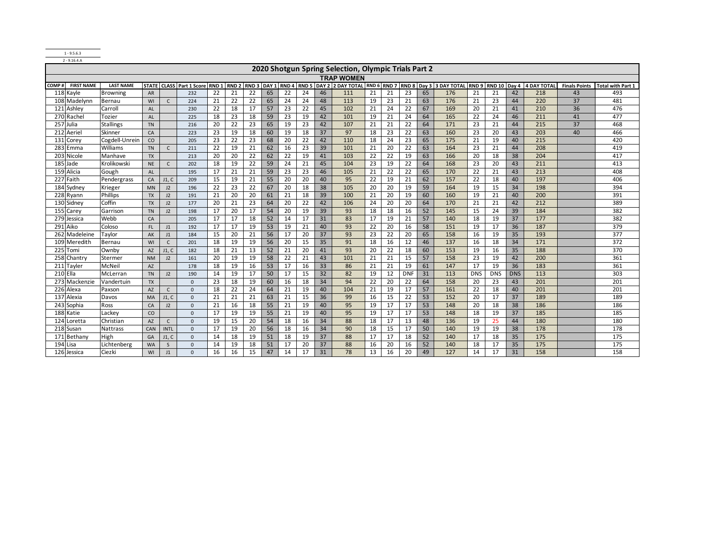1 - 9.5.6.3 2 - 9.16.4.A

|                 |                   |                  |           |              |                                 |                  |    |    |    |    |    |    | 2020 Shotgun Spring Selection, Olympic Trials Part 2        |    |    |            |    |                               |            |              |            |             |                      |                          |
|-----------------|-------------------|------------------|-----------|--------------|---------------------------------|------------------|----|----|----|----|----|----|-------------------------------------------------------------|----|----|------------|----|-------------------------------|------------|--------------|------------|-------------|----------------------|--------------------------|
|                 |                   |                  |           |              |                                 |                  |    |    |    |    |    |    | <b>TRAP WOMEN</b>                                           |    |    |            |    |                               |            |              |            |             |                      |                          |
| COMP#           | <b>FIRST NAME</b> | <b>LAST NAME</b> |           |              | <b>STATE CLASS Part 1 Score</b> | RND <sub>1</sub> |    |    |    |    |    |    | RND 2 RND 3 DAY 1 RND 4 RND 5 DAY 2 2 DAY TOTAL RND 6 RND 7 |    |    |            |    | RND 8 Day 3 3 DAY TOTAL RND 9 |            | RND 10 Day 4 |            | 4 DAY TOTAL | <b>Finals Points</b> | <b>Total with Part 1</b> |
|                 | 118 Kayle         | <b>Browning</b>  | AR        |              | 232                             | 22               | 21 | 22 | 65 | 22 | 24 | 46 | 111                                                         | 21 | 21 | 23         | 65 | 176                           | 21         | 21           | 42         | 218         | 43                   | 493                      |
|                 | 108 Madelynn      | Bernau           | WI        | $\mathsf{C}$ | 224                             | 21               | 22 | 22 | 65 | 24 | 24 | 48 | 113                                                         | 19 | 23 | 21         | 63 | 176                           | 21         | 23           | 44         | 220         | 37                   | 481                      |
|                 | 121 Ashley        | Carroll          | <b>AL</b> |              | 230                             | 22               | 18 | 17 | 57 | 23 | 22 | 45 | 102                                                         | 21 | 24 | 22         | 67 | 169                           | 20         | 21           | 41         | 210         | 36                   | 476                      |
|                 | 270 Rachel        | Tozier           | <b>AL</b> |              | 225                             | 18               | 23 | 18 | 59 | 23 | 19 | 42 | 101                                                         | 19 | 21 | 24         | 64 | 165                           | 22         | 24           | 46         | 211         | 41                   | 477                      |
|                 | 257 Julia         | <b>Stallings</b> | <b>TN</b> |              | 216                             | 20               | 22 | 23 | 65 | 19 | 23 | 42 | 107                                                         | 21 | 21 | 22         | 64 | 171                           | 23         | 21           | 44         | 215         | 37                   | 468                      |
|                 | 212 Aeriel        | Skinner          | CA        |              | 223                             | 23               | 19 | 18 | 60 | 19 | 18 | 37 | 97                                                          | 18 | 23 | 22         | 63 | 160                           | 23         | 20           | 43         | 203         | 40                   | 466                      |
|                 | 131 Corey         | Cogdell-Unrein   | CO        |              | 205                             | 23               | 22 | 23 | 68 | 20 | 22 | 42 | 110                                                         | 18 | 24 | 23         | 65 | 175                           | 21         | 19           | 40         | 215         |                      | 420                      |
|                 | 283 Emma          | Williams         | <b>TN</b> | $\mathsf{C}$ | 211                             | 22               | 19 | 21 | 62 | 16 | 23 | 39 | 101                                                         | 21 | 20 | 22         | 63 | 164                           | 23         | 21           | 44         | 208         |                      | 419                      |
|                 | 203 Nicole        | Manhave          | <b>TX</b> |              | 213                             | 20               | 20 | 22 | 62 | 22 | 19 | 41 | 103                                                         | 22 | 22 | 19         | 63 | 166                           | 20         | 18           | 38         | 204         |                      | 417                      |
| 185             | Jade              | Krolikowski      | <b>NE</b> | $\mathsf{C}$ | 202                             | 18               | 19 | 22 | 59 | 24 | 21 | 45 | 104                                                         | 23 | 19 | 22         | 64 | 168                           | 23         | 20           | 43         | 211         |                      | 413                      |
|                 | 159 Alicia        | Gough            | AL        |              | 195                             | 17               | 21 | 21 | 59 | 23 | 23 | 46 | 105                                                         | 21 | 22 | 22         | 65 | 170                           | 22         | 21           | 43         | 213         |                      | 408                      |
|                 | 227 Faith         | Pendergrass      | CA        | J1, C        | 209                             | 15               | 19 | 21 | 55 | 20 | 20 | 40 | 95                                                          | 22 | 19 | 21         | 62 | 157                           | 22         | 18           | 40         | 197         |                      | 406                      |
|                 | 184 Sydney        | Krieger          | <b>MN</b> | J2           | 196                             | 22               | 23 | 22 | 67 | 20 | 18 | 38 | 105                                                         | 20 | 20 | 19         | 59 | 164                           | 19         | 15           | 34         | 198         |                      | 394                      |
|                 | 228 Ryann         | <b>Phillips</b>  | <b>TX</b> | J2           | 191                             | 21               | 20 | 20 | 61 | 21 | 18 | 39 | 100                                                         | 21 | 20 | 19         | 60 | 160                           | 19         | 21           | 40         | 200         |                      | 391                      |
|                 | 130 Sidney        | Coffin           | <b>TX</b> | J2           | 177                             | 20               | 21 | 23 | 64 | 20 | 22 | 42 | 106                                                         | 24 | 20 | 20         | 64 | 170                           | 21         | 21           | 42         | 212         |                      | 389                      |
|                 | 155 Carey         | Garrison         | <b>TN</b> | J2           | 198                             | 17               | 20 | 17 | 54 | 20 | 19 | 39 | 93                                                          | 18 | 18 | 16         | 52 | 145                           | 15         | 24           | 39         | 184         |                      | 382                      |
|                 | 279 Jessica       | Webb             | CA        |              | 205                             | 17               | 17 | 18 | 52 | 14 | 17 | 31 | 83                                                          | 17 | 19 | 21         | 57 | 140                           | 18         | 19           | 37         | 177         |                      | 382                      |
| 291             | Aiko              | Coloso           | FL.       | J1           | 192                             | 17               | 17 | 19 | 53 | 19 | 21 | 40 | 93                                                          | 22 | 20 | 16         | 58 | 151                           | 19         | 17           | 36         | 187         |                      | 379                      |
|                 | 262 Madeleine     | Taylor           | AK        | J1           | 184                             | 15               | 20 | 21 | 56 | 17 | 20 | 37 | 93                                                          | 23 | 22 | 20         | 65 | 158                           | 16         | 19           | 35         | 193         |                      | 377                      |
|                 | 109 Meredith      | Bernau           | WI        | $\mathsf{C}$ | 201                             | 18               | 19 | 19 | 56 | 20 | 15 | 35 | 91                                                          | 18 | 16 | 12         | 46 | 137                           | 16         | 18           | 34         | 171         |                      | 372                      |
| 225             | Tomi              | Ownby            | <b>AZ</b> | J1, C        | 182                             | 18               | 21 | 13 | 52 | 21 | 20 | 41 | 93                                                          | 20 | 22 | 18         | 60 | 153                           | 19         | 16           | 35         | 188         |                      | 370                      |
|                 | 258 Chantry       | Stermer          | <b>NM</b> | J2           | 161                             | 20               | 19 | 19 | 58 | 22 | 21 | 43 | 101                                                         | 21 | 21 | 15         | 57 | 158                           | 23         | 19           | 42         | 200         |                      | 361                      |
|                 | 211 Tayler        | <b>McNeil</b>    | AZ        |              | 178                             | 18               | 19 | 16 | 53 | 17 | 16 | 33 | 86                                                          | 21 | 21 | 19         | 61 | 147                           | 17         | 19           | 36         | 183         |                      | 361                      |
| <b>210 Ella</b> |                   | McLerran         | <b>TN</b> | J2           | 190                             | 14               | 19 | 17 | 50 | 17 | 15 | 32 | 82                                                          | 19 | 12 | <b>DNF</b> | 31 | 113                           | <b>DNS</b> | <b>DNS</b>   | <b>DNS</b> | 113         |                      | 303                      |
|                 | 273 Mackenzie     | Vandertuin       | <b>TX</b> |              | $\mathbf{0}$                    | 23               | 18 | 19 | 60 | 16 | 18 | 34 | 94                                                          | 22 | 20 | 22         | 64 | 158                           | 20         | 23           | 43         | 201         |                      | 201                      |
|                 | 226 Alexa         | Paxson           | AZ        | $\mathsf{C}$ | $\mathbf{0}$                    | 18               | 22 | 24 | 64 | 21 | 19 | 40 | 104                                                         | 21 | 19 | 17         | 57 | 161                           | 22         | 18           | 40         | 201         |                      | 201                      |
|                 | 137 Alexia        | Davos            | <b>MA</b> | J1, C        | $\mathbf{0}$                    | 21               | 21 | 21 | 63 | 21 | 15 | 36 | 99                                                          | 16 | 15 | 22         | 53 | 152                           | 20         | 17           | 37         | 189         |                      | 189                      |
|                 | 243 Sophia        | Ross             | CA        | J2           | $\mathbf{0}$                    | 21               | 16 | 18 | 55 | 21 | 19 | 40 | 95                                                          | 19 | 17 | 17         | 53 | 148                           | 20         | 18           | 38         | 186         |                      | 186                      |
|                 | 188 Katie         | Lackey           | CO        |              | $\mathbf{0}$                    | 17               | 19 | 19 | 55 | 21 | 19 | 40 | 95                                                          | 19 | 17 | 17         | 53 | 148                           | 18         | 19           | 37         | 185         |                      | 185                      |
|                 | 124 Loretta       | Christian        | <b>AZ</b> | $\mathsf{C}$ | $\mathbf{0}$                    | 19               | 15 | 20 | 54 | 18 | 16 | 34 | 88                                                          | 18 | 17 | 13         | 48 | 136                           | 19         | 25           | 44         | 180         |                      | 180                      |
|                 | 218 Susan         | Nattrass         | CAN       | <b>INTL</b>  | $\mathbf{0}$                    | 17               | 19 | 20 | 56 | 18 | 16 | 34 | 90                                                          | 18 | 15 | 17         | 50 | 140                           | 19         | 19           | 38         | 178         |                      | 178                      |
|                 | 171 Bethany       | High             | GA        | J1, C        | $\mathbf{0}$                    | 14               | 18 | 19 | 51 | 18 | 19 | 37 | 88                                                          | 17 | 17 | 18         | 52 | 140                           | 17         | 18           | 35         | 175         |                      | 175                      |
| 194 Lisa        |                   | Lichtenberg      | <b>WA</b> | S            | $\mathbf 0$                     | 14               | 19 | 18 | 51 | 17 | 20 | 37 | 88                                                          | 16 | 20 | 16         | 52 | 140                           | 18         | 17           | 35         | 175         |                      | 175                      |
|                 | 126 Jessica       | Ciezki           | WI        | J1           | $\Omega$                        | 16               | 16 | 15 | 47 | 14 | 17 | 31 | 78                                                          | 13 | 16 | 20         | 49 | 127                           | 14         | 17           | 31         | 158         |                      | 158                      |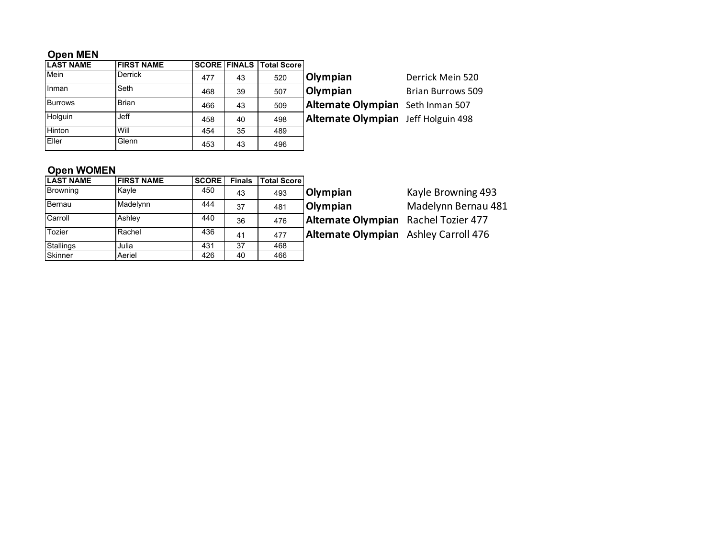## **Open MEN**

| <b>LAST NAME</b> | <b>FIRST NAME</b> |     |    | <b>SCORE FINALS Total Score</b> |                                     |                          |
|------------------|-------------------|-----|----|---------------------------------|-------------------------------------|--------------------------|
| Mein             | <b>Derrick</b>    | 477 | 43 | 520                             | Olympian                            | Derrick Mein 520         |
| l Inman          | Seth              | 468 | 39 | 507                             | <b>Olympian</b>                     | <b>Brian Burrows 509</b> |
| <b>Burrows</b>   | <b>Brian</b>      | 466 | 43 | 509                             | Alternate Olympian Seth Inman 507   |                          |
| Holguin          | <b>Jeff</b>       | 458 | 40 | 498                             | Alternate Olympian Jeff Holguin 498 |                          |
| Hinton           | Will              | 454 | 35 | 489                             |                                     |                          |
| Eller            | Glenn             | 453 | 43 | 496                             |                                     |                          |

## **Open WOMEN**

| <b>LAST NAME</b> | <b>FIRST NAME</b> | <b>SCORE</b> | <b>Finals</b> | <b>Total Score</b> |      |
|------------------|-------------------|--------------|---------------|--------------------|------|
| Browning         | Kayle             | 450          | 43            | 493                | Olyı |
| Bernau           | Madelynn          | 444          | 37            | 481                | Olyı |
| Carroll          | Ashley            | 440          | 36            | 476                | Alte |
| Tozier           | Rachel            | 436          | 41            | 477                | Alte |
| Stallings        | Julia             | 431          | 37            | 468                |      |
| Skinner          | Aeriel            | 426          | 40            | 466                |      |

**mpian** Kayle Browning 493 **mpian Madelynn Bernau 481** ernate Olympian Rachel Tozier 477

**Example Rachel Ashley Carroll 476**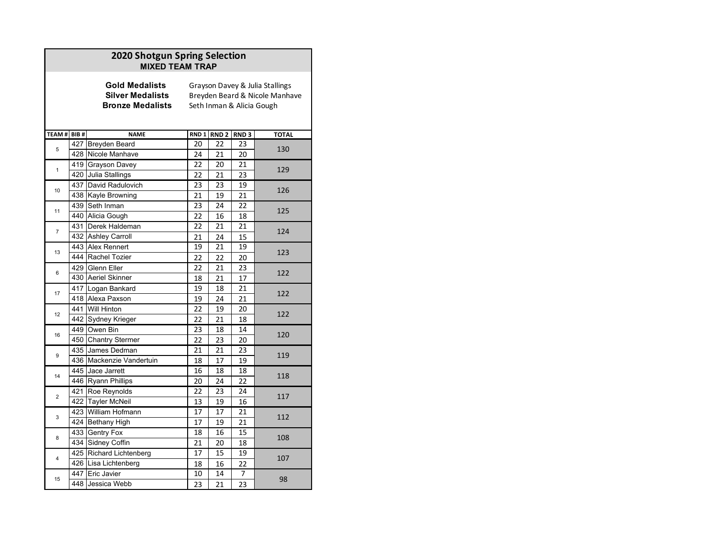|                |      | 2020 Shotgun Spring Selection<br><b>MIXED TEAM TRAP</b>                     |                  |                  |                  |                                                                                                |
|----------------|------|-----------------------------------------------------------------------------|------------------|------------------|------------------|------------------------------------------------------------------------------------------------|
|                |      | <b>Gold Medalists</b><br><b>Silver Medalists</b><br><b>Bronze Medalists</b> |                  |                  |                  | Grayson Davey & Julia Stallings<br>Breyden Beard & Nicole Manhave<br>Seth Inman & Alicia Gough |
| TEAM#          | BIB# | <b>NAME</b>                                                                 | RND <sub>1</sub> | RND <sub>2</sub> | RND <sub>3</sub> | <b>TOTAL</b>                                                                                   |
| 5              |      | 427 Breyden Beard                                                           | 20               | 22               | 23               | 130                                                                                            |
|                |      | 428 Nicole Manhave                                                          | 24               | 21               | 20               |                                                                                                |
| $\mathbf{1}$   |      | 419 Grayson Davey                                                           | 22               | 20               | 21               | 129                                                                                            |
|                |      | 420 Julia Stallings                                                         | 22               | 21               | 23               |                                                                                                |
| 10             |      | 437 David Radulovich                                                        | 23               | 23               | 19               | 126                                                                                            |
|                |      | 438 Kayle Browning                                                          | 21               | 19               | 21               |                                                                                                |
| 11             |      | 439 Seth Inman                                                              | 23               | 24               | 22               | 125                                                                                            |
|                |      | 440 Alicia Gough                                                            | 22               | 16               | 18               |                                                                                                |
| $\overline{7}$ |      | 431 Derek Haldeman                                                          | 22               | 21               | 21               | 124                                                                                            |
|                |      | 432 Ashley Carroll                                                          | 21               | 24               | 15               |                                                                                                |
| 13             |      | 443 Alex Rennert                                                            | 19               | 21               | 19               | 123                                                                                            |
|                |      | 444 Rachel Tozier                                                           | 22               | 22               | 20               |                                                                                                |
| 6              |      | 429 Glenn Eller                                                             | 22               | 21               | 23               | 122                                                                                            |
|                |      | 430 Aeriel Skinner                                                          | 18               | 21               | 17               |                                                                                                |
| 17             |      | 417 Logan Bankard                                                           | 19               | 18               | 21               | 122                                                                                            |
|                |      | 418 Alexa Paxson                                                            | 19               | 24               | 21               |                                                                                                |
| 12             |      | 441 Will Hinton                                                             | 22               | 19               | 20               | 122                                                                                            |
|                |      | 442 Sydney Krieger                                                          | 22               | 21               | 18               |                                                                                                |
| 16             |      | 449 Owen Bin                                                                | 23               | 18               | 14               | 120                                                                                            |
|                |      | 450 Chantry Stermer                                                         | 22               | 23               | 20               |                                                                                                |
| 9              |      | 435 James Dedman                                                            | 21               | 21               | 23               | 119                                                                                            |
|                |      | 436 Mackenzie Vandertuin                                                    | 18               | 17               | 19               |                                                                                                |
| 14             |      | 445 Jace Jarrett                                                            | 16               | 18               | 18               | 118                                                                                            |
|                |      | 446 Ryann Phillips                                                          | 20               | 24               | 22               |                                                                                                |
| $\overline{2}$ |      | 421 Roe Reynolds                                                            | 22               | 23               | 24               | 117                                                                                            |
|                |      | 422 Tayler McNeil                                                           | 13               | 19               | 16               |                                                                                                |
| 3              |      | 423 William Hofmann                                                         | 17               | 17               | 21               | 112                                                                                            |
|                |      | 424 Bethany High                                                            | 17               | 19               | 21               |                                                                                                |
| 8              |      | 433 Gentry Fox                                                              | 18               | 16               | 15               | 108                                                                                            |
|                |      | 434 Sidney Coffin                                                           | 21               | 20               | 18               |                                                                                                |
| 4              |      | 425 Richard Lichtenberg                                                     | 17               | 15               | 19               | 107                                                                                            |
|                |      | 426 Lisa Lichtenberg                                                        | 18               | 16               | 22               |                                                                                                |
| 15             |      | 447 Eric Javier                                                             | 10               | 14               | 7                | 98                                                                                             |
|                |      | 448 Jessica Webb                                                            | 23               | 21               | $\overline{23}$  |                                                                                                |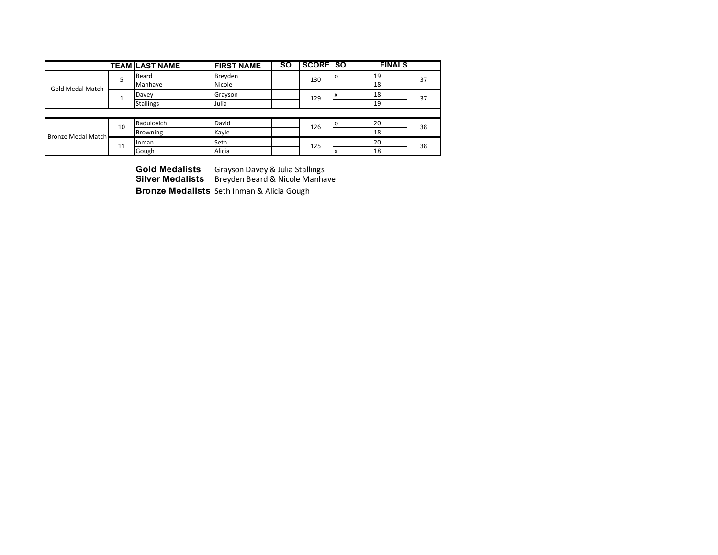|                           |    | <b>TEAM LAST NAME</b> | <b>FIRST NAME</b> | <b>SO</b> | <b>SCORE SO</b> |         | <b>FINALS</b> |    |
|---------------------------|----|-----------------------|-------------------|-----------|-----------------|---------|---------------|----|
|                           | 5  | Beard                 | Breyden           |           | 130             | $\circ$ | 19            | 37 |
| <b>Gold Medal Match</b>   |    | Manhave               | Nicole            |           |                 |         | 18            |    |
|                           |    | Davey                 | Grayson           |           | 129             | x       | 18            | 37 |
|                           |    | <b>Stallings</b>      | Julia             |           |                 |         | 19            |    |
|                           |    |                       |                   |           |                 |         |               |    |
|                           | 10 | Radulovich            | David             |           | 126             | $\circ$ | 20            | 38 |
| <b>Bronze Medal Match</b> |    | Browning              | Kayle             |           |                 |         | 18            |    |
|                           | 11 | Inman                 | Seth              |           | 125             |         | 20            | 38 |
|                           |    | Gough                 | Alicia            |           |                 | x       | 18            |    |

**Gold Medalists** Grayson Davey & Julia Stallings **Silver Medalists** Breyden Beard & Nicole Manhave **Bronze Medalists** Seth Inman & Alicia Gough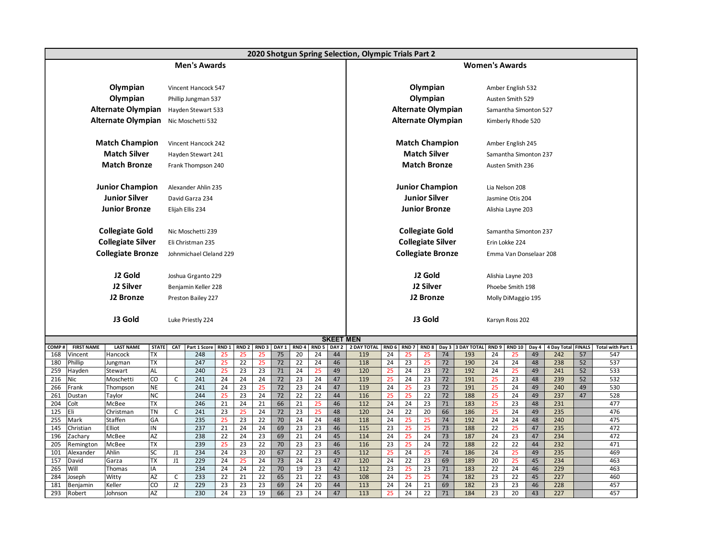|              |                    |                           |                    |    |                         |                  |                        |                  |                        |                        |                        |                  | 2020 Shotgun Spring Selection, Olympic Trials Part 2 |                 |                        |                          |                 |                          |                        |                        |             |                           |    |                                 |
|--------------|--------------------|---------------------------|--------------------|----|-------------------------|------------------|------------------------|------------------|------------------------|------------------------|------------------------|------------------|------------------------------------------------------|-----------------|------------------------|--------------------------|-----------------|--------------------------|------------------------|------------------------|-------------|---------------------------|----|---------------------------------|
|              |                    |                           |                    |    | <b>Men's Awards</b>     |                  |                        |                  |                        |                        |                        |                  |                                                      |                 |                        |                          |                 | <b>Women's Awards</b>    |                        |                        |             |                           |    |                                 |
|              |                    |                           |                    |    |                         |                  |                        |                  |                        |                        |                        |                  |                                                      |                 |                        |                          |                 |                          |                        |                        |             |                           |    |                                 |
|              |                    | Olympian                  |                    |    | Vincent Hancock 547     |                  |                        |                  |                        |                        |                        |                  |                                                      |                 |                        | Olympian                 |                 |                          |                        | Amber English 532      |             |                           |    |                                 |
|              |                    | Olympian                  |                    |    | Phillip Jungman 537     |                  |                        |                  |                        |                        |                        |                  |                                                      |                 |                        | Olympian                 |                 |                          |                        | Austen Smith 529       |             |                           |    |                                 |
|              |                    | <b>Alternate Olympian</b> |                    |    | Hayden Stewart 533      |                  |                        |                  |                        |                        |                        |                  |                                                      |                 |                        | Alternate Olympian       |                 |                          |                        | Samantha Simonton 527  |             |                           |    |                                 |
|              |                    | Alternate Olympian        |                    |    | Nic Moschetti 532       |                  |                        |                  |                        |                        |                        |                  |                                                      |                 |                        | Alternate Olympian       |                 |                          |                        | Kimberly Rhode 520     |             |                           |    |                                 |
|              |                    |                           |                    |    |                         |                  |                        |                  |                        |                        |                        |                  |                                                      |                 |                        |                          |                 |                          |                        |                        |             |                           |    |                                 |
|              |                    | <b>Match Champion</b>     |                    |    | Vincent Hancock 242     |                  |                        |                  |                        |                        |                        |                  |                                                      |                 |                        | <b>Match Champion</b>    |                 |                          |                        | Amber English 245      |             |                           |    |                                 |
|              |                    | <b>Match Silver</b>       |                    |    | Hayden Stewart 241      |                  |                        |                  |                        |                        |                        |                  |                                                      |                 |                        | <b>Match Silver</b>      |                 |                          |                        | Samantha Simonton 237  |             |                           |    |                                 |
|              |                    | <b>Match Bronze</b>       |                    |    | Frank Thompson 240      |                  |                        |                  |                        |                        |                        |                  |                                                      |                 |                        | <b>Match Bronze</b>      |                 |                          |                        | Austen Smith 236       |             |                           |    |                                 |
|              |                    |                           |                    |    |                         |                  |                        |                  |                        |                        |                        |                  |                                                      |                 |                        |                          |                 |                          |                        |                        |             |                           |    |                                 |
|              |                    | <b>Junior Champion</b>    |                    |    | Alexander Ahlin 235     |                  |                        |                  |                        |                        |                        |                  |                                                      |                 |                        | <b>Junior Champion</b>   |                 |                          |                        | Lia Nelson 208         |             |                           |    |                                 |
|              |                    | <b>Junior Silver</b>      |                    |    | David Garza 234         |                  |                        |                  |                        |                        |                        |                  |                                                      |                 |                        | <b>Junior Silver</b>     |                 |                          |                        | Jasmine Otis 204       |             |                           |    |                                 |
|              |                    | <b>Junior Bronze</b>      |                    |    | Elijah Ellis 234        |                  |                        |                  |                        |                        |                        |                  |                                                      |                 |                        | <b>Junior Bronze</b>     |                 |                          |                        | Alishia Layne 203      |             |                           |    |                                 |
|              |                    |                           |                    |    |                         |                  |                        |                  |                        |                        |                        |                  |                                                      |                 |                        |                          |                 |                          |                        |                        |             |                           |    |                                 |
|              |                    | <b>Collegiate Gold</b>    |                    |    | Nic Moschetti 239       |                  |                        |                  |                        |                        |                        |                  |                                                      |                 |                        | <b>Collegiate Gold</b>   |                 |                          |                        | Samantha Simonton 237  |             |                           |    |                                 |
|              |                    | <b>Collegiate Silver</b>  |                    |    | Eli Christman 235       |                  |                        |                  |                        |                        |                        |                  |                                                      |                 |                        | <b>Collegiate Silver</b> |                 |                          |                        | Erin Lokke 224         |             |                           |    |                                 |
|              |                    | <b>Collegiate Bronze</b>  |                    |    | Johnmichael Cleland 229 |                  |                        |                  |                        |                        |                        |                  |                                                      |                 |                        | <b>Collegiate Bronze</b> |                 |                          |                        | Emma Van Donselaar 208 |             |                           |    |                                 |
|              |                    |                           |                    |    |                         |                  |                        |                  |                        |                        |                        |                  |                                                      |                 |                        |                          |                 |                          |                        |                        |             |                           |    |                                 |
|              |                    | J2 Gold                   |                    |    | Joshua Grganto 229      |                  |                        |                  |                        |                        |                        |                  |                                                      |                 |                        | J2 Gold                  |                 |                          |                        | Alishia Layne 203      |             |                           |    |                                 |
|              |                    | J2 Silver                 |                    |    | Benjamin Keller 228     |                  |                        |                  |                        |                        |                        |                  |                                                      |                 |                        | J2 Silver                |                 |                          |                        | Phoebe Smith 198       |             |                           |    |                                 |
|              |                    | J2 Bronze                 |                    |    | Preston Bailey 227      |                  |                        |                  |                        |                        |                        |                  |                                                      |                 |                        | J2 Bronze                |                 |                          |                        | Molly DiMaggio 195     |             |                           |    |                                 |
|              |                    |                           |                    |    |                         |                  |                        |                  |                        |                        |                        |                  |                                                      |                 |                        |                          |                 |                          |                        |                        |             |                           |    |                                 |
|              |                    | J3 Gold                   |                    |    | Luke Priestly 224       |                  |                        |                  |                        |                        |                        |                  |                                                      |                 |                        | J3 Gold                  |                 |                          |                        | Karsyn Ross 202        |             |                           |    |                                 |
|              |                    |                           |                    |    |                         |                  |                        |                  |                        |                        |                        |                  |                                                      |                 |                        |                          |                 |                          |                        |                        |             |                           |    |                                 |
|              |                    |                           |                    |    |                         |                  |                        |                  |                        |                        |                        | <b>SKEET MEN</b> |                                                      |                 |                        |                          |                 |                          |                        |                        |             |                           |    |                                 |
| COMP#<br>168 | <b>FIRST NAME</b>  | <b>LAST NAME</b>          | <b>STATE</b><br>ГX |    | CAT Part 1 Score<br>248 | RND <sub>1</sub> | RND <sub>2</sub><br>25 | RND <sub>3</sub> | DAY <sub>1</sub><br>75 | RND <sub>4</sub><br>20 | RND <sub>5</sub><br>24 | DAY 2<br>44      | 2 DAY TOTAL RND 6<br>119                             | 24              | RND <sub>7</sub><br>25 | RND <sub>8</sub><br>25   | 74              | Day 3 3 DAY TOTAL<br>193 | RND <sub>9</sub><br>24 | <b>RND 10</b><br>25    | Day 4<br>49 | 4 Day Total FINALS<br>242 | 57 | <b>Total with Part 1</b><br>547 |
| 180          | Vincent<br>Phillip | Hancock<br>Jungman        | TX                 |    | 247                     | 25<br>25         | 22                     | 25<br>25         | 72                     | 22                     | 24                     | 46               | 118                                                  | 24              | 23                     | 25                       | 72              | 190                      | 24                     | 24                     | 48          | 238                       | 52 | 537                             |
| 259          | Hayden             | Stewart                   | AL                 |    | 240                     | 25               | 23                     | 23               | 71                     | 24                     | 25                     | 49               | 120                                                  | 25              | 24                     | 23                       | 72              | 192                      | 24                     | 25                     | 49          | 241                       | 52 | 533                             |
| 216          | Nic                | Moschetti                 | $\overline{c}$     | C  | 241                     | 24               | 24                     | 24               | 72                     | 23                     | 24                     | 47               | 119                                                  | 25              | 24                     | 23                       | 72              | 191                      | 25                     | 23                     | 48          | 239                       | 52 | 532                             |
| 266          | Frank              | Thompson                  | <b>NE</b>          |    | 241                     | $\overline{24}$  | 23                     | 25               | 72                     | 23                     | 24                     | 47               | 119                                                  | 24              | 25                     | 23                       | $\overline{72}$ | 191                      | 25                     | 24                     | 49          | 240                       | 49 | 530                             |
| 261          | Dustan             | Taylor                    | <b>NC</b>          |    | 244                     | 25               | 23                     | $\overline{24}$  | 72                     | $\overline{22}$        | 22                     | 44               | 116                                                  | 25              | 25                     | $\overline{22}$          | $\overline{72}$ | 188                      | 25                     | 24                     | 49          | 237                       | 47 | 528                             |
| 204          | Colt               | McBee                     | TX                 |    | 246                     | 21               | 24                     | 21               | 66                     | 21                     | 25                     | 46               | 112                                                  | 24              | 24                     | 23                       | 71              | 183                      | 25                     | 23                     | 48          | 231                       |    | 477                             |
| 125          | Eli                | Christman                 | ΤN                 | C  | 241                     | $\overline{23}$  | 25                     | 24               | $\overline{72}$        | 23                     | 25                     | 48               | 120                                                  | 24              | $\overline{22}$        | 20                       | 66              | 186                      | 25                     | 24                     | 49          | 235<br>240                |    | 476                             |
| 255<br>145   | Mark<br>Christian  | Staffen<br>Elliot         | GA<br>IN           |    | 235<br>237              | 25<br>21         | 23<br>24               | 22<br>24         | 70<br>69               | 24<br>23               | 24<br>23               | 48<br>46         | 118<br>115                                           | 24<br>23        | 25<br>25               | 25<br>25                 | 74<br>73        | 192<br>188               | 24<br>22               | 24<br>25               | 48<br>47    | 235                       |    | 475<br>472                      |
| 196          | Zachary            | McBee                     | AZ                 |    | 238                     | $\overline{22}$  | 24                     | $\overline{23}$  | 69                     | 21                     | $\overline{24}$        | 45               | 114                                                  | 24              | 25                     | 24                       | 73              | 187                      | 24                     | 23                     | 47          | 234                       |    | 472                             |
| 205          | Remington          | McBee                     | TХ                 |    | 239                     | 25               | 23                     | 22               | 70                     | 23                     | 23                     | 46               | 116                                                  | 23              | 25                     | 24                       | 72              | 188                      | $\overline{22}$        | 22                     | 44          | 232                       |    | 471                             |
| 101          | Alexander          | Ahlin                     | SC                 | J1 | 234                     | 24               | 23                     | 20               | 67                     | 22                     | 23                     | 45               | 112                                                  | 25              | $\overline{24}$        | 25                       | 74              | 186                      | 24                     | 25                     | 49          | 235                       |    | 469                             |
| 157          | David              | Garza                     | ТX                 | J1 | 229                     | 24               | 25                     | 24               | 73                     | 24                     | 23                     | 47               | 120                                                  | 24              | 22                     | 23                       | 69              | 189                      | 20                     | 25                     | 45          | 234                       |    | 463                             |
| 265          | Will               | Thomas                    | IA                 |    | 234                     | 24               | 24                     | 22               | 70                     | 19                     | 23                     | 42               | 112                                                  | 23              | 25                     | 23                       | $71$            | 183                      | 22                     | 24                     | 46          | 229                       |    | 463                             |
| 284          | Joseph             | Witty                     | $\overline{AZ}$    | C  | 233                     | 22               | $\overline{21}$        | $\overline{22}$  | 65                     | 21                     | $\overline{22}$        | 43               | 108                                                  | $\overline{24}$ | 25                     | 25                       | $\overline{74}$ | 182                      | 23                     | 22                     | 45          | 227                       |    | 460                             |
| 181          | Benjamin           | Keller                    | CO                 | J2 | 229                     | 23               | 23                     | 23               | 69                     | 24                     | 20                     | 44               | 113                                                  | 24              | 24                     | 21                       | 69              | 182                      | 23                     | 23                     | 46          | 228                       |    | 457                             |
| 293          | Robert             | Johnson                   | AZ                 |    | 230                     | 24               | 23                     | 19               | 66                     | 23                     | 24                     | 47               | 113                                                  | 25              | 24                     | 22                       | 71              | 184                      | 23                     | 20                     | 43          | 227                       |    | 457                             |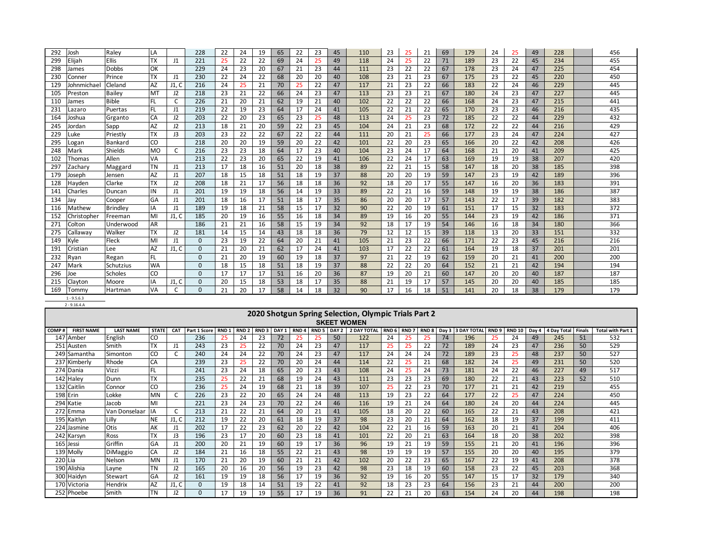| 292 | Josh        | Raley        | LA        |                | 228          | 22  | 24 | 19 | 65 | 22 | 23 | 45 | 110 | 23 | 25 | 21 | 69 | 179 | 24 | 25 | 49 | 228 | 456 |
|-----|-------------|--------------|-----------|----------------|--------------|-----|----|----|----|----|----|----|-----|----|----|----|----|-----|----|----|----|-----|-----|
| 299 | Elijah      | <b>Ellis</b> | <b>TX</b> | J1             | 221          | 25  | 22 | 22 | 69 | 24 | 25 | 49 | 118 | 24 | 25 | 22 | 71 | 189 | 23 | 22 | 45 | 234 | 455 |
| 298 | James       | Dobbs        | OK        |                | 229          | 24  | 23 | 20 | 67 | 21 | 23 | 44 | 111 | 23 | 22 | 22 | 67 | 178 | 23 | 24 | 47 | 225 | 454 |
| 230 | Conner      | Prince       | <b>TX</b> | J1             | 230          | 22  | 24 | 22 | 68 | 20 | 20 | 40 | 108 | 23 | 21 | 23 | 67 | 175 | 23 | 22 | 45 | 220 | 450 |
| 129 | Johnmichael | Cleland      | <b>AZ</b> | J1, C          | 216          | 24  | 25 | 21 | 70 | 25 | 22 | 47 | 117 | 21 | 23 | 22 | 66 | 183 | 22 | 24 | 46 | 229 | 445 |
| 105 | Preston     | Bailey       | <b>MT</b> | J2             | 218          | 23  | 21 | 22 | 66 | 24 | 23 | 47 | 113 | 23 | 23 | 21 | 67 | 180 | 24 | 23 | 47 | 227 | 445 |
| 110 | James       | <b>Bible</b> | FL.       |                | 226          | 21  | 20 | 21 | 62 | 19 | 21 | 40 | 102 | 22 | 22 | 22 | 66 | 168 | 24 | 23 | 47 | 215 | 441 |
| 231 | Lazaro      | Puertas      | FL        | J1             | 219          | 22  | 19 | 23 | 64 | 17 | 24 | 41 | 105 | 22 | 21 | 22 | 65 | 170 | 23 | 23 | 46 | 216 | 435 |
| 164 | Joshua      | Grganto      | CA        | J2             | 203          | 22  | 20 | 23 | 65 | 23 | 25 | 48 | 113 | 24 | 25 | 23 | 72 | 185 | 22 | 22 | 44 | 229 | 432 |
| 245 | Jordan      | Sapp         | <b>AZ</b> | J2             | 213          | 18  | 21 | 20 | 59 | 22 | 23 | 45 | 104 | 24 | 21 | 23 | 68 | 172 | 22 | 22 | 44 | 216 | 429 |
| 229 | .uke        | Priestly     | <b>TX</b> | J3             | 203          | 23  | 22 | 22 | 67 | 22 | 22 | 44 | 111 | 20 | 21 | 25 | 66 | 177 | 23 | 24 | 47 | 224 | 427 |
| 295 | .ogan       | Bankard      | CO        |                | 218          | 20  | 20 | 19 | 59 | 20 | 22 | 42 | 101 | 22 | 20 | 23 | 65 | 166 | 20 | 22 | 42 | 208 | 426 |
| 248 | Mark        | Shields      | <b>MO</b> |                | 216          | 23  | 23 | 18 | 64 | 17 | 23 | 40 | 104 | 23 | 24 | 17 | 64 | 168 | 21 | 20 | 41 | 209 | 425 |
| 102 | Thomas      | Allen        | VA        |                | 213          | 22  | 23 | 20 | 65 | 22 | 19 | 41 | 106 | 22 | 24 | 17 | 63 | 169 | 19 | 19 | 38 | 207 | 420 |
| 297 | Zacharv     | Maggard      | <b>TN</b> | J1             | 213          | 17  | 18 | 16 | 51 | 20 | 18 | 38 | 89  | 22 | 21 | 15 | 58 | 147 | 18 | 20 | 38 | 185 | 398 |
| 179 | Joseph      | Jensen       | <b>AZ</b> | J1             | 207          | 18  | 15 | 18 | 51 | 18 | 19 | 37 | 88  | 20 | 20 | 19 | 59 | 147 | 23 | 19 | 42 | 189 | 396 |
| 128 | Hayden      | Clarke       | <b>TX</b> | J <sub>2</sub> | 208          | 18  | 21 | 17 | 56 | 18 | 18 | 36 | 92  | 18 | 20 | 17 | 55 | 147 | 16 | 20 | 36 | 183 | 391 |
| 141 | Charles     | Duncan       | IN        | J1             | 201          | 19  | 19 | 18 | 56 | 14 | 19 | 33 | 89  | 22 | 21 | 16 | 59 | 148 | 19 | 19 | 38 | 186 | 387 |
| 134 | Jav         | Cooper       | GA        | J1             | 201          | 18  | 16 | 17 | 51 | 18 | 17 | 35 | 86  | 20 | 20 | 17 | 57 | 143 | 22 | 17 | 39 | 182 | 383 |
| 116 | Mathew      | Brindley     | IA        | J1             | 189          | 19  | 18 | 21 | 58 | 15 | 17 | 32 | 90  | 22 | 20 | 19 | 61 | 151 | 17 | 15 | 32 | 183 | 372 |
| 152 | Christopher | Freeman      | MI        | J1. C          | 185          | 20  | 19 | 16 | 55 | 16 | 18 | 34 | 89  | 19 | 16 | 20 | 55 | 144 | 23 | 19 | 42 | 186 | 371 |
| 271 | Colton      | Underwood    | <b>AR</b> |                | 186          | 21  | 21 | 16 | 58 | 15 | 19 | 34 | 92  | 18 | 17 | 19 | 54 | 146 | 16 | 18 | 34 | 180 | 366 |
| 275 | Callaway    | Walker       | <b>TX</b> | J2             | 181          | -14 | 15 | 14 | 43 | 18 | 18 | 36 | 79  | 12 | 12 | 15 | 39 | 118 | 13 | 20 | 33 | 151 | 332 |
| 149 | Kyle        | Fleck        | MI        | J1             | $\Omega$     | 23  | 19 | 22 | 64 | 20 | 21 | 41 | 105 | 21 | 23 | 22 | 66 | 171 | 22 | 23 | 45 | 216 | 216 |
| 191 | Cristian    | Lee          | <b>AZ</b> | J1, C          | $\mathbf{0}$ | 21  | 20 | 21 | 62 | 17 | 24 | 41 | 103 | 17 | 22 | 22 | 61 | 164 | 19 | 18 | 37 | 201 | 201 |
| 232 | Ryan        | Regan        | FL        |                | $\Omega$     | 21  | 20 | 19 | 60 | 19 | 18 | 37 | 97  | 21 | 22 | 19 | 62 | 159 | 20 | 21 | 41 | 200 | 200 |
| 247 | Mark        | Schutzius    | <b>WA</b> |                | $\Omega$     | 18  | 15 | 18 | 51 | 18 | 19 | 37 | 88  | 22 | 22 | 20 | 64 | 152 | 21 | 21 | 42 | 194 | 194 |
| 296 | Joe         | Scholes      | CO        |                | $\Omega$     | 17  | 17 | 17 | 51 | 16 | 20 | 36 | 87  | 19 | 20 | 21 | 60 | 147 | 20 | 20 | 40 | 187 | 187 |
| 215 | Clavton     | Moore        | IA        | J1, C          | $\Omega$     | 20  | 15 | 18 | 53 | 18 | 17 | 35 | 88  | 21 | 19 | 17 | 57 | 145 | 20 | 20 | 40 | 185 | 185 |
| 169 | Tommv       | Hartman      | VA        |                | $\Omega$     | 21  | 20 | 17 | 58 | 14 | 18 | 32 | 90  | 17 | 16 | 18 | 51 | 141 | 20 | 18 | 38 | 179 | 179 |

1 - 9.5.6.3 2 - 9.16.4.A

|                             |                                                                                                                                           |              |                |              |      |                  |                  |                  |                  |                  |       | 2020 Shotgun Spring Selection, Olympic Trials Part 2 |                  |                  |                  |       |                    |                  |               |       |                    |        |                          |
|-----------------------------|-------------------------------------------------------------------------------------------------------------------------------------------|--------------|----------------|--------------|------|------------------|------------------|------------------|------------------|------------------|-------|------------------------------------------------------|------------------|------------------|------------------|-------|--------------------|------------------|---------------|-------|--------------------|--------|--------------------------|
|                             |                                                                                                                                           |              |                |              |      |                  |                  |                  |                  |                  |       | <b>SKEET WOMEN</b>                                   |                  |                  |                  |       |                    |                  |               |       |                    |        |                          |
| <b>FIRST NAME</b><br>COMP i | <b>LAST NAME</b>                                                                                                                          | <b>STATE</b> | <b>CAT</b>     | Part 1 Score | RND: | RND <sub>2</sub> | RND <sub>3</sub> | DAY <sub>1</sub> | RND <sub>4</sub> | RND <sub>5</sub> | DAY 2 | <b>2 DAY TOTAL</b>                                   | RND <sub>6</sub> | RND <sub>7</sub> | RND <sub>8</sub> | Day 3 | <b>3 DAY TOTAL</b> | RND <sub>9</sub> | <b>RND 10</b> | Dav 4 | <b>4 Day Total</b> | Finals | <b>Total with Part 1</b> |
| 147 Amber                   | English                                                                                                                                   | CO           |                | 236          |      | 24               | 23               | 72               | 25               | 25               | 50    | 122                                                  | 24               |                  | 25               | 74    | 196                |                  | 24            | 49    | 245                | 51     | 532                      |
| 251 Austen                  | Smith                                                                                                                                     | <b>TX</b>    | $_{\text{J1}}$ | 243          | 23   | 25               | 22               | 70               | 24               | 23               | 47    | 117                                                  | 25               | 25               | 22               | 72    | 189                | 24               | 23            | 47    | 236                | 50     | 529                      |
| 249 ISamantha               | Simonton                                                                                                                                  | CO           |                | 240          | 24   | 24               | 22               | 70               | 24               | 23               | 47    | 117                                                  | 24               | 24               | 24               | 72    | 189                | 23               | 25            | 48    | 237                | 50     | 527                      |
| 237 Kimberly                | Rhode                                                                                                                                     | CA           |                | 239          | 23   | 25               | 22               | 70               | 20               | 24               | 44    | 114                                                  | 22               |                  | 21               | 68    | 182                | 24               | 25            | 49    | 231                | 50     | 520                      |
| 274 Dania                   | Vizzi                                                                                                                                     |              |                | 241          | 23   | 24               | 18               | 65               | 20               | 23               | 43    | 108                                                  | 24               | 25               | 24               | 73    | 181                | 24               | 22            | 46    | 227                | 49     | 517                      |
| 142 Haley                   | Dunn                                                                                                                                      | <b>TX</b>    |                | 235          | 25   | 22               | 21               | 68               | 19               | 24               | 43    | 111                                                  | 23               | 23               | 23               | 69    | 180                | 22               | 21            | 43    | 223                | 52     | 510                      |
| 132 Caitlin                 | Connor                                                                                                                                    | CO           |                | 236          | 25   | 24               | 19               | 68               | 21               | 18               | 39    | 107                                                  | 25               | 22               | 23               | 70    | 177                | 21               | 21            | 42    | 219                |        | 455                      |
| 198 Erin                    | <b>MN</b><br>226<br>23<br>22<br>20<br>24<br>22<br>177<br>22<br>25<br>450<br>Lokke<br>24<br>48<br>113<br>19<br>23<br>64<br>224<br>65<br>47 |              |                |              |      |                  |                  |                  |                  |                  |       |                                                      |                  |                  |                  |       |                    |                  |               |       |                    |        |                          |
| 294 Katie                   | Jacob                                                                                                                                     | MI           |                | 221          | 23   | 24               | 23               | 70               | 22               | 24               | 46    | 116                                                  | 19               | 21               | 24               | 64    | 180                | 24               | 20            | 44    | 224                |        | 445                      |
| 272 Emma                    | Van Donselaar                                                                                                                             |              |                | 213          | 21   | 22               | 21               | 64               | 20               | 21               | 41    | 105                                                  | 18               | 20               | 22               | 60    | 165                | 22               | 21            | 43    | 208                |        | 421                      |
| 195 Kaitlyn                 | Lilly                                                                                                                                     | <b>NE</b>    | J1, C          | 212          | 19   | 22               | 20               | 61               | 18               | 19               | 37    | 98                                                   | 23               | 20               | 21               | 64    | 162                | 18               | 19            | 37    | 199                |        | 411                      |
| 224 Jasmine                 | Otis                                                                                                                                      | AK           | $_{\text{J1}}$ | 202          | 17   | 22               | 23               | 62               | 20               | 22               | 42    | 104                                                  | 22               | 21               | 16               | 59    | 163                | 20               | 21            | 41    | 204                |        | 406                      |
| 242 Karsyn                  | Ross                                                                                                                                      | <b>TX</b>    | J3             | 196          | 23   | 17               | 20               | 60               | 23               | 18               | 41    | 101                                                  | 22               | 20               | 21               | 63    | 164                | 18               | 20            | 38    | 202                |        | 398                      |
| 165 Jessi                   | Griffin                                                                                                                                   | GA           | J1             | 200          | 20   | 21               | 19               | 60               | 19               | 17               | 36    | 96                                                   | 19               | 21               | 19               | 59    | 155                | 21               | 20            | 41    | 196                |        | 396                      |
| 139 Molly                   | DiMaggio                                                                                                                                  | CA           | J2             | 184          | 21   | 16               | 18               | 55               | 22               | 21               | 43    | 98                                                   | 19               | 19               | 19               | 57    | 155                | 20               | 20            | 40    | 195                |        | 379                      |
| 220 Lia                     | Nelson                                                                                                                                    | MN           | $_{\text{J1}}$ | 170          | 21   | 20               | 19               | 60               | 21               | 21               | 42    | 102                                                  | 20               | 22               | 23               | 65    | 167                | 22               | 19            | 41    | 208                |        | 378                      |
| 190 Alishia                 | Layne                                                                                                                                     | <b>TN</b>    | J2             | 165          | 20   | 16               | 20               | 56               | 19               | 23               | 42    | 98                                                   | 23               | 18               | 19               | 60    | 158                | 23               | 22            | 45    | 203                |        | 368                      |
| 300 Haidvn                  | Stewart                                                                                                                                   | GA           | J2             | 161          | 19   | 19               | 18               | 56               | 17               | 19               | 36    | 92                                                   | 19               | 16               | 20               | 55    | 147                | 15               | 17            | 32    | 179                |        | 340                      |
| 170 Victoria                | Hendrix                                                                                                                                   | AZ           | J1, C          | <sup>0</sup> | 19   | 18               | 14               | 51               | 19               | 22               | 41    | 92                                                   | 18               | 23               | 23               | 64    | 156                | 23               | 21            | 44    | 200                |        | 200                      |
| 252 Phoebe                  | Smith                                                                                                                                     | <b>TN</b>    | J2             | $\Omega$     | 17   | 19               | 19               | 55               | 17               | 19               | 36    | 91                                                   | 22               | 21               | 20               | 63    | 154                | 24               | 20            | 44    | 198                |        | 198                      |